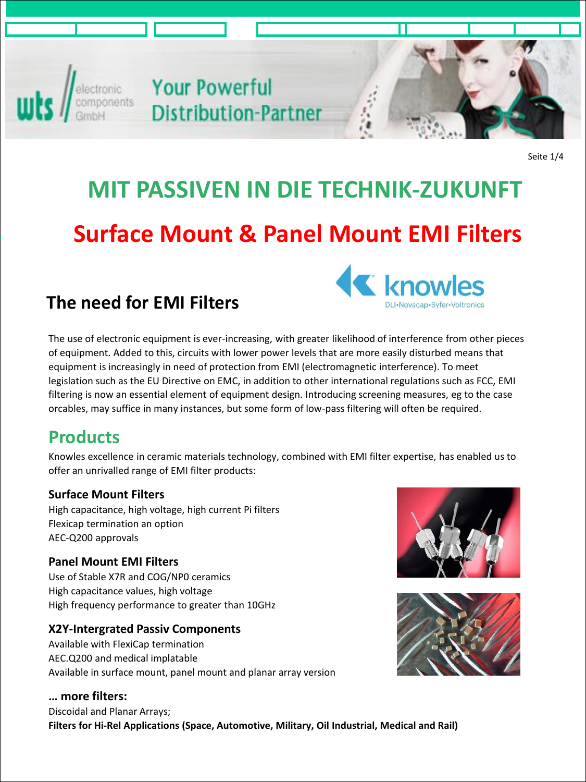

electronic<br>
Components **Your Powerful**<br>
GmbH **Distribution-Pa Distribution-Partner** 



Seite 1/4

# **MIT PASSIVEN IN DIE TECHNIK-ZUKUNFT Surface Mount & Panel Mount EMI Filters**

### **The need for EMI Filters**



The use of electronic equipment is ever-increasing, with greater likelihood of interference from other pieces of equipment. Added to this, circuits with lower power levels that are more easily disturbed means that equipment is increasingly in need of protection from EMI (electromagnetic interference). To meet legislation such as the EU Directive on EMC, in addition to other international regulations such as FCC, EMI filtering is now an essential element of equipment design. Introducing screening measures, eg to the case orcables, may suffice in many instances, but some form of low-pass filtering will often be required.

## **Products**

Knowles excellence in ceramic materials technology, combined with EMI filter expertise, has enabled us to offer an unrivalled range of EMI filter products:

#### **Surface Mount Filters**

High capacitance, high voltage, high current Pi filters Flexicap termination an option AEC-Q200 approvals

#### **Panel Mount EMI Filters**

Use of Stable X7R and COG/NP0 ceramics High capacitance values, high voltage High frequency performance to greater than 10GHz

#### **X2Y-Intergrated Passiv Components**

Available with FlexiCap termination AEC.Q200 and medical implatable Available in surface mount, panel mount and planar array version

#### **… more filters:**

Discoidal and Planar Arrays; **Filters for Hi-Rel Applications (Space, Automotive, Military, Oil Industrial, Medical and Rail)**



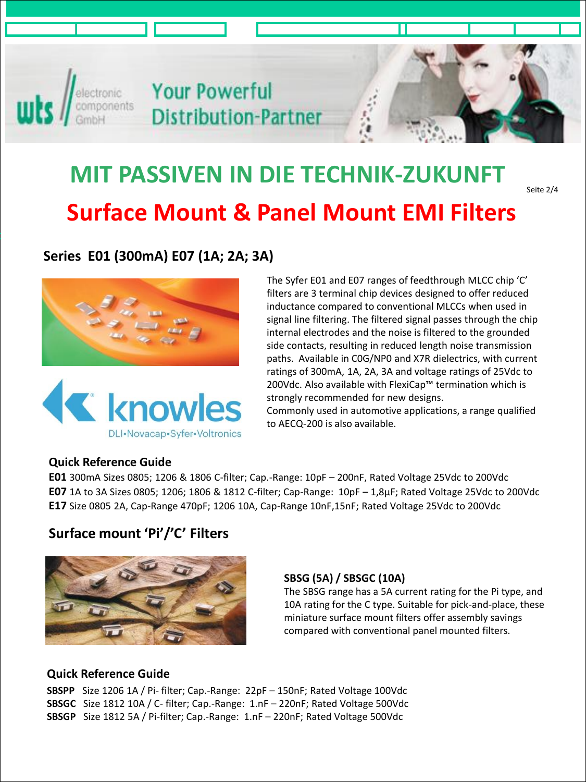

**Your Powerful Distribution-Partner** 

## **Surface Mount & Panel Mount EMI Filters MIT PASSIVEN IN DIE TECHNIK-ZUKUNFT**

Seite 2/4

#### **Series E01 (300mA) E07 (1A; 2A; 3A)**





The Syfer E01 and E07 ranges of feedthrough MLCC chip 'C' filters are 3 terminal chip devices designed to offer reduced inductance compared to conventional MLCCs when used in signal line filtering. The filtered signal passes through the chip internal electrodes and the noise is filtered to the grounded side contacts, resulting in reduced length noise transmission paths. Available in C0G/NP0 and X7R dielectrics, with current ratings of 300mA, 1A, 2A, 3A and voltage ratings of 25Vdc to 200Vdc. Also available with FlexiCap™ termination which is strongly recommended for new designs. Commonly used in automotive applications, a range qualified

to AECQ-200 is also available.

#### **Quick Reference Guide**

**E01** 300mA Sizes 0805; 1206 & 1806 C-filter; Cap.-Range: 10pF – 200nF, Rated Voltage 25Vdc to 200Vdc **E07** 1A to 3A Sizes 0805; 1206; 1806 & 1812 C-filter; Cap-Range: 10pF – 1,8µF; Rated Voltage 25Vdc to 200Vdc **E17** Size 0805 2A, Cap-Range 470pF; 1206 10A, Cap-Range 10nF,15nF; Rated Voltage 25Vdc to 200Vdc

#### **Surface mount 'Pi'/'C' Filters**



#### **SBSG (5A) / SBSGC (10A)**

The SBSG range has a 5A current rating for the Pi type, and 10A rating for the C type. Suitable for pick-and-place, these miniature surface mount filters offer assembly savings compared with conventional panel mounted filters.

#### **Quick Reference Guide**

**SBSPP** Size 1206 1A / Pi- filter; Cap.-Range: 22pF – 150nF; Rated Voltage 100Vdc **SBSGC** Size 1812 10A / C- filter; Cap.-Range: 1.nF – 220nF; Rated Voltage 500Vdc **SBSGP** Size 1812 5A / Pi-filter; Cap.-Range: 1.nF – 220nF; Rated Voltage 500Vdc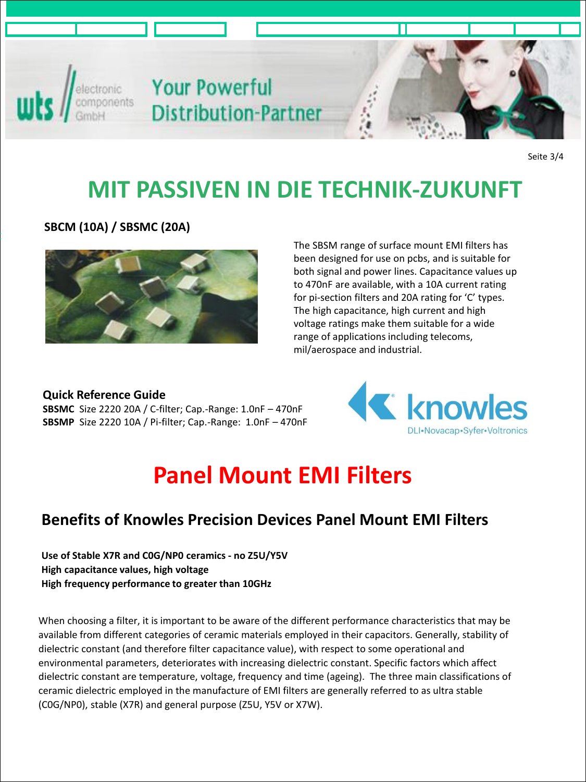

Seite 3/4

## **MIT PASSIVEN IN DIE TECHNIK-ZUKUNFT**

**SBCM (10A) / SBSMC (20A)**



The SBSM range of surface mount EMI filters has been designed for use on pcbs, and is suitable for both signal and power lines. Capacitance values up to 470nF are available, with a 10A current rating for pi-section filters and 20A rating for 'C' types. The high capacitance, high current and high voltage ratings make them suitable for a wide range of applications including telecoms, mil/aerospace and industrial.

#### **Quick Reference Guide SBSMC** Size 2220 20A / C-filter; Cap.-Range: 1.0nF – 470nF

**SBSMP** Size 2220 10A / Pi-filter; Cap.-Range: 1.0nF – 470nF



## **Panel Mount EMI Filters**

#### **Benefits of Knowles Precision Devices Panel Mount EMI Filters**

**Use of Stable X7R and C0G/NP0 ceramics - no Z5U/Y5V High capacitance values, high voltage High frequency performance to greater than 10GHz**

When choosing a filter, it is important to be aware of the different performance characteristics that may be available from different categories of ceramic materials employed in their capacitors. Generally, stability of dielectric constant (and therefore filter capacitance value), with respect to some operational and environmental parameters, deteriorates with increasing dielectric constant. Specific factors which affect dielectric constant are temperature, voltage, frequency and time (ageing). The three main classifications of ceramic dielectric employed in the manufacture of EMI filters are generally referred to as ultra stable (C0G/NP0), stable (X7R) and general purpose (Z5U, Y5V or X7W).